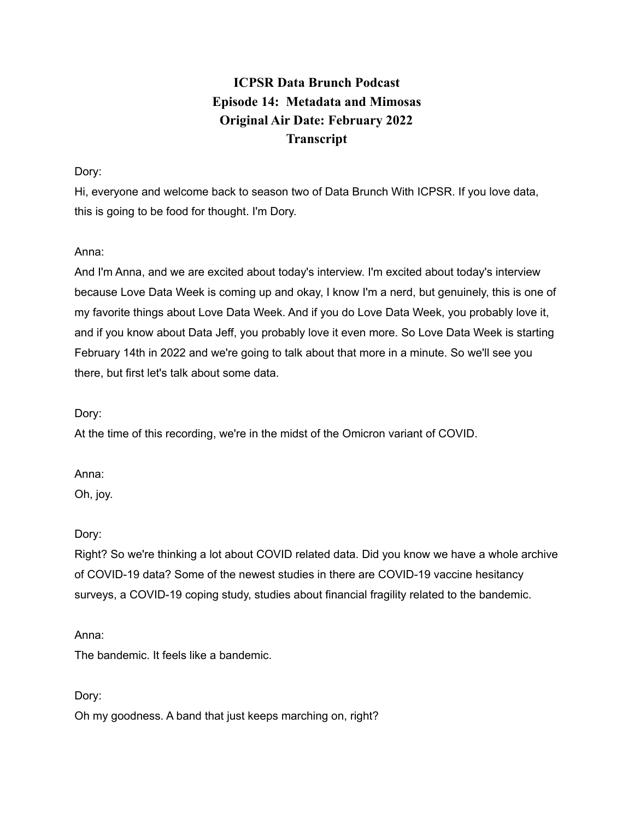# **ICPSR Data Brunch Podcast Episode 14: Metadata and Mimosas Original Air Date: February 2022 Transcript**

# Dory:

Hi, everyone and welcome back to season two of Data Brunch With ICPSR. If you love data, this is going to be food for thought. I'm Dory.

# Anna:

And I'm Anna, and we are excited about today's interview. I'm excited about today's interview because Love Data Week is coming up and okay, I know I'm a nerd, but genuinely, this is one of my favorite things about Love Data Week. And if you do Love Data Week, you probably love it, and if you know about Data Jeff, you probably love it even more. So Love Data Week is starting February 14th in 2022 and we're going to talk about that more in a minute. So we'll see you there, but first let's talk about some data.

Dory:

At the time of this recording, we're in the midst of the Omicron variant of COVID.

Anna:

Oh, joy.

Dory:

Right? So we're thinking a lot about COVID related data. Did you know we have a whole archive of COVID-19 data? Some of the newest studies in there are COVID-19 vaccine hesitancy surveys, a COVID-19 coping study, studies about financial fragility related to the bandemic.

### Anna:

The bandemic. It feels like a bandemic.

Dory:

Oh my goodness. A band that just keeps marching on, right?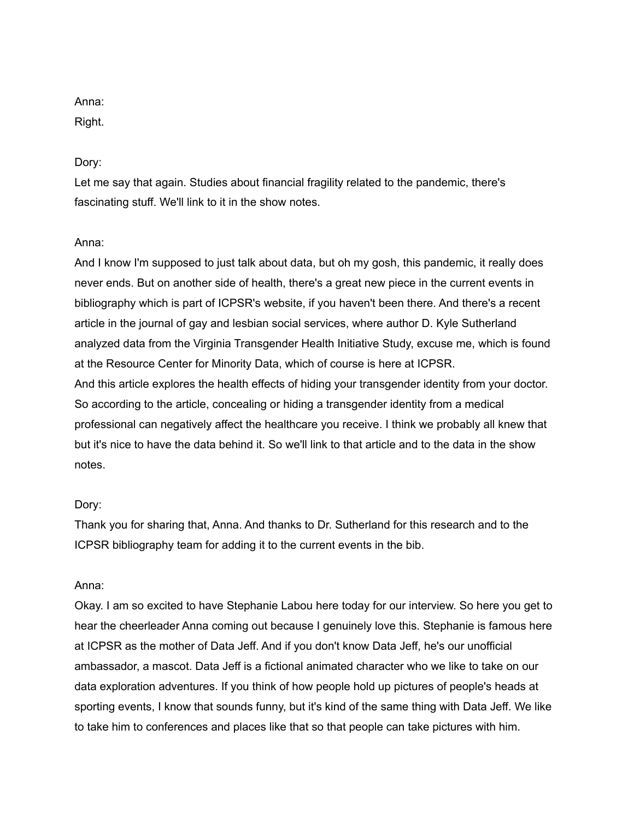# Anna:

Right.

# Dory:

Let me say that again. Studies about financial fragility related to the pandemic, there's fascinating stuff. We'll link to it in the show notes.

# Anna:

And I know I'm supposed to just talk about data, but oh my gosh, this pandemic, it really does never ends. But on another side of health, there's a great new piece in the current events in bibliography which is part of ICPSR's website, if you haven't been there. And there's a recent article in the journal of gay and lesbian social services, where author D. Kyle Sutherland analyzed data from the Virginia Transgender Health Initiative Study, excuse me, which is found at the Resource Center for Minority Data, which of course is here at ICPSR. And this article explores the health effects of hiding your transgender identity from your doctor. So according to the article, concealing or hiding a transgender identity from a medical professional can negatively affect the healthcare you receive. I think we probably all knew that but it's nice to have the data behind it. So we'll link to that article and to the data in the show notes.

### Dory:

Thank you for sharing that, Anna. And thanks to Dr. Sutherland for this research and to the ICPSR bibliography team for adding it to the current events in the bib.

### Anna:

Okay. I am so excited to have Stephanie Labou here today for our interview. So here you get to hear the cheerleader Anna coming out because I genuinely love this. Stephanie is famous here at ICPSR as the mother of Data Jeff. And if you don't know Data Jeff, he's our unofficial ambassador, a mascot. Data Jeff is a fictional animated character who we like to take on our data exploration adventures. If you think of how people hold up pictures of people's heads at sporting events, I know that sounds funny, but it's kind of the same thing with Data Jeff. We like to take him to conferences and places like that so that people can take pictures with him.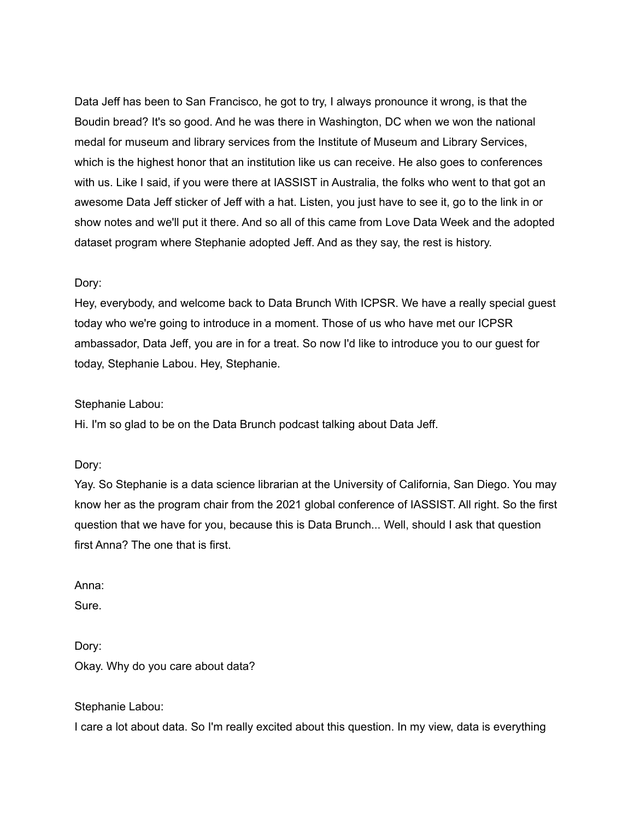Data Jeff has been to San Francisco, he got to try, I always pronounce it wrong, is that the Boudin bread? It's so good. And he was there in Washington, DC when we won the national medal for museum and library services from the Institute of Museum and Library Services, which is the highest honor that an institution like us can receive. He also goes to conferences with us. Like I said, if you were there at IASSIST in Australia, the folks who went to that got an awesome Data Jeff sticker of Jeff with a hat. Listen, you just have to see it, go to the link in or show notes and we'll put it there. And so all of this came from Love Data Week and the adopted dataset program where Stephanie adopted Jeff. And as they say, the rest is history.

#### Dory:

Hey, everybody, and welcome back to Data Brunch With ICPSR. We have a really special guest today who we're going to introduce in a moment. Those of us who have met our ICPSR ambassador, Data Jeff, you are in for a treat. So now I'd like to introduce you to our guest for today, Stephanie Labou. Hey, Stephanie.

#### Stephanie Labou:

Hi. I'm so glad to be on the Data Brunch podcast talking about Data Jeff.

Dory:

Yay. So Stephanie is a data science librarian at the University of California, San Diego. You may know her as the program chair from the 2021 global conference of IASSIST. All right. So the first question that we have for you, because this is Data Brunch... Well, should I ask that question first Anna? The one that is first.

Anna:

Sure.

Dory: Okay. Why do you care about data?

Stephanie Labou:

I care a lot about data. So I'm really excited about this question. In my view, data is everything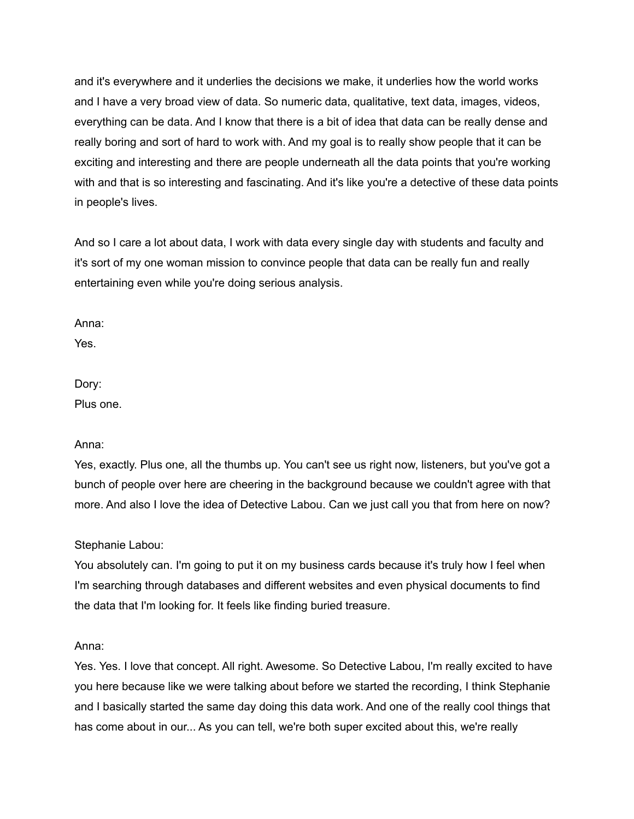and it's everywhere and it underlies the decisions we make, it underlies how the world works and I have a very broad view of data. So numeric data, qualitative, text data, images, videos, everything can be data. And I know that there is a bit of idea that data can be really dense and really boring and sort of hard to work with. And my goal is to really show people that it can be exciting and interesting and there are people underneath all the data points that you're working with and that is so interesting and fascinating. And it's like you're a detective of these data points in people's lives.

And so I care a lot about data, I work with data every single day with students and faculty and it's sort of my one woman mission to convince people that data can be really fun and really entertaining even while you're doing serious analysis.

Anna:

Yes.

Dory: Plus one.

### Anna:

Yes, exactly. Plus one, all the thumbs up. You can't see us right now, listeners, but you've got a bunch of people over here are cheering in the background because we couldn't agree with that more. And also I love the idea of Detective Labou. Can we just call you that from here on now?

### Stephanie Labou:

You absolutely can. I'm going to put it on my business cards because it's truly how I feel when I'm searching through databases and different websites and even physical documents to find the data that I'm looking for. It feels like finding buried treasure.

#### Anna:

Yes. Yes. I love that concept. All right. Awesome. So Detective Labou, I'm really excited to have you here because like we were talking about before we started the recording, I think Stephanie and I basically started the same day doing this data work. And one of the really cool things that has come about in our... As you can tell, we're both super excited about this, we're really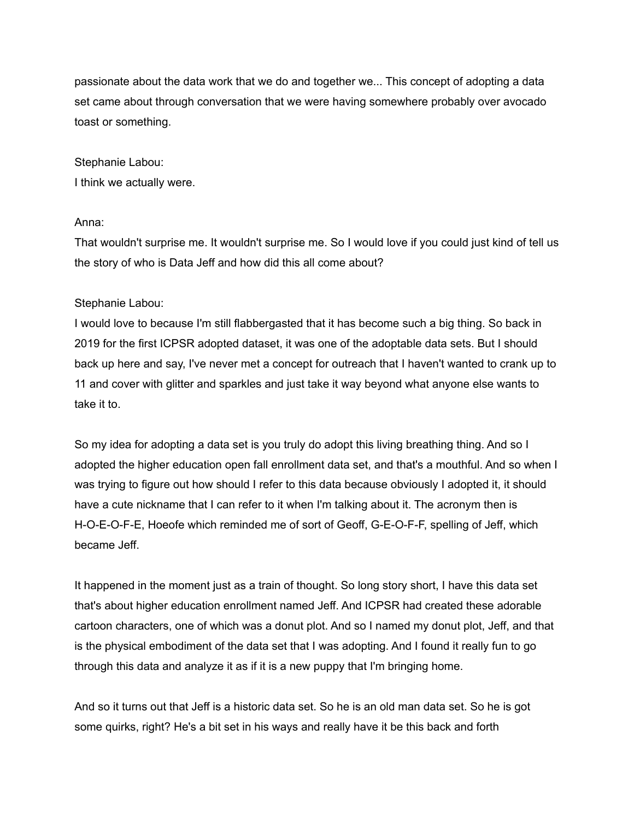passionate about the data work that we do and together we... This concept of adopting a data set came about through conversation that we were having somewhere probably over avocado toast or something.

Stephanie Labou: I think we actually were.

#### Anna:

That wouldn't surprise me. It wouldn't surprise me. So I would love if you could just kind of tell us the story of who is Data Jeff and how did this all come about?

#### Stephanie Labou:

I would love to because I'm still flabbergasted that it has become such a big thing. So back in 2019 for the first ICPSR adopted dataset, it was one of the adoptable data sets. But I should back up here and say, I've never met a concept for outreach that I haven't wanted to crank up to 11 and cover with glitter and sparkles and just take it way beyond what anyone else wants to take it to.

So my idea for adopting a data set is you truly do adopt this living breathing thing. And so I adopted the higher education open fall enrollment data set, and that's a mouthful. And so when I was trying to figure out how should I refer to this data because obviously I adopted it, it should have a cute nickname that I can refer to it when I'm talking about it. The acronym then is H-O-E-O-F-E, Hoeofe which reminded me of sort of Geoff, G-E-O-F-F, spelling of Jeff, which became Jeff.

It happened in the moment just as a train of thought. So long story short, I have this data set that's about higher education enrollment named Jeff. And ICPSR had created these adorable cartoon characters, one of which was a donut plot. And so I named my donut plot, Jeff, and that is the physical embodiment of the data set that I was adopting. And I found it really fun to go through this data and analyze it as if it is a new puppy that I'm bringing home.

And so it turns out that Jeff is a historic data set. So he is an old man data set. So he is got some quirks, right? He's a bit set in his ways and really have it be this back and forth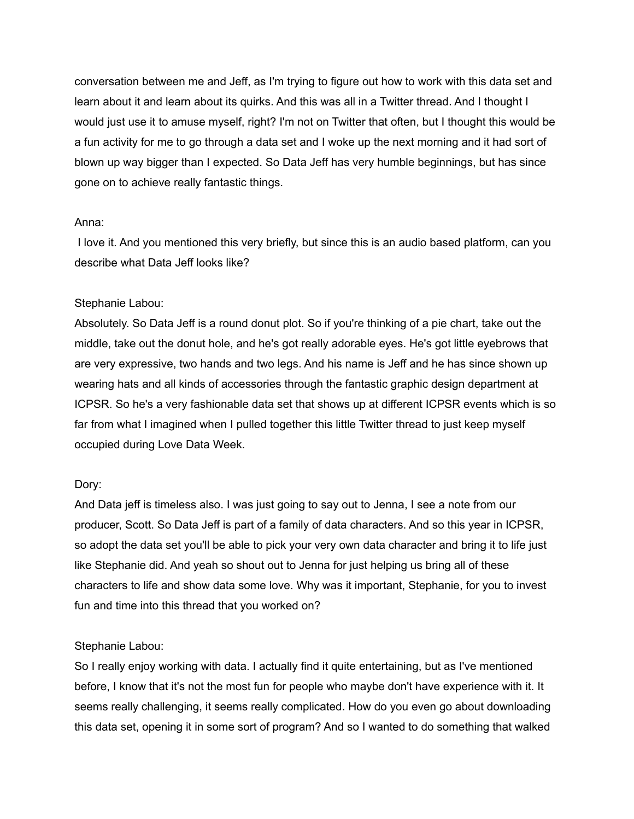conversation between me and Jeff, as I'm trying to figure out how to work with this data set and learn about it and learn about its quirks. And this was all in a Twitter thread. And I thought I would just use it to amuse myself, right? I'm not on Twitter that often, but I thought this would be a fun activity for me to go through a data set and I woke up the next morning and it had sort of blown up way bigger than I expected. So Data Jeff has very humble beginnings, but has since gone on to achieve really fantastic things.

#### Anna:

I love it. And you mentioned this very briefly, but since this is an audio based platform, can you describe what Data Jeff looks like?

#### Stephanie Labou:

Absolutely. So Data Jeff is a round donut plot. So if you're thinking of a pie chart, take out the middle, take out the donut hole, and he's got really adorable eyes. He's got little eyebrows that are very expressive, two hands and two legs. And his name is Jeff and he has since shown up wearing hats and all kinds of accessories through the fantastic graphic design department at ICPSR. So he's a very fashionable data set that shows up at different ICPSR events which is so far from what I imagined when I pulled together this little Twitter thread to just keep myself occupied during Love Data Week.

#### Dory:

And Data jeff is timeless also. I was just going to say out to Jenna, I see a note from our producer, Scott. So Data Jeff is part of a family of data characters. And so this year in ICPSR, so adopt the data set you'll be able to pick your very own data character and bring it to life just like Stephanie did. And yeah so shout out to Jenna for just helping us bring all of these characters to life and show data some love. Why was it important, Stephanie, for you to invest fun and time into this thread that you worked on?

#### Stephanie Labou:

So I really enjoy working with data. I actually find it quite entertaining, but as I've mentioned before, I know that it's not the most fun for people who maybe don't have experience with it. It seems really challenging, it seems really complicated. How do you even go about downloading this data set, opening it in some sort of program? And so I wanted to do something that walked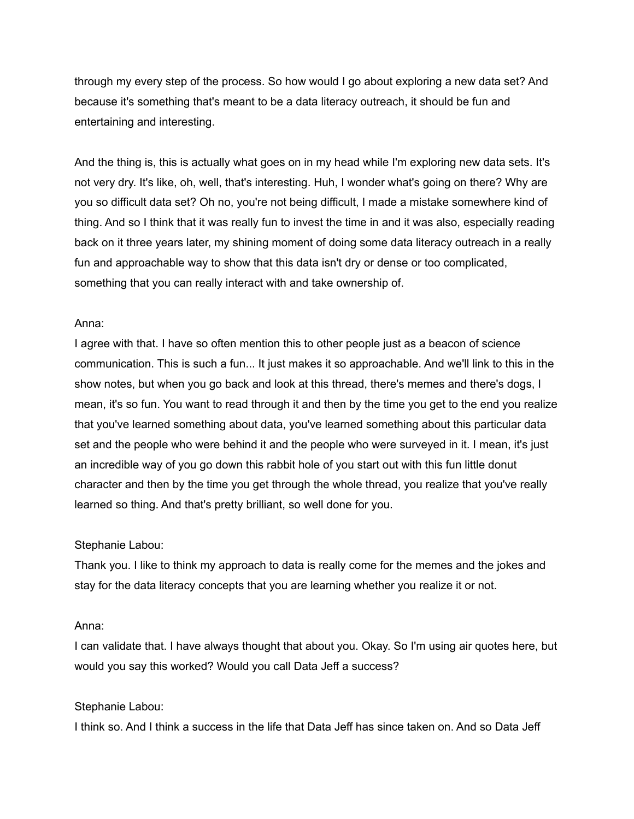through my every step of the process. So how would I go about exploring a new data set? And because it's something that's meant to be a data literacy outreach, it should be fun and entertaining and interesting.

And the thing is, this is actually what goes on in my head while I'm exploring new data sets. It's not very dry. It's like, oh, well, that's interesting. Huh, I wonder what's going on there? Why are you so difficult data set? Oh no, you're not being difficult, I made a mistake somewhere kind of thing. And so I think that it was really fun to invest the time in and it was also, especially reading back on it three years later, my shining moment of doing some data literacy outreach in a really fun and approachable way to show that this data isn't dry or dense or too complicated, something that you can really interact with and take ownership of.

#### Anna:

I agree with that. I have so often mention this to other people just as a beacon of science communication. This is such a fun... It just makes it so approachable. And we'll link to this in the show notes, but when you go back and look at this thread, there's memes and there's dogs, I mean, it's so fun. You want to read through it and then by the time you get to the end you realize that you've learned something about data, you've learned something about this particular data set and the people who were behind it and the people who were surveyed in it. I mean, it's just an incredible way of you go down this rabbit hole of you start out with this fun little donut character and then by the time you get through the whole thread, you realize that you've really learned so thing. And that's pretty brilliant, so well done for you.

#### Stephanie Labou:

Thank you. I like to think my approach to data is really come for the memes and the jokes and stay for the data literacy concepts that you are learning whether you realize it or not.

#### Anna:

I can validate that. I have always thought that about you. Okay. So I'm using air quotes here, but would you say this worked? Would you call Data Jeff a success?

#### Stephanie Labou:

I think so. And I think a success in the life that Data Jeff has since taken on. And so Data Jeff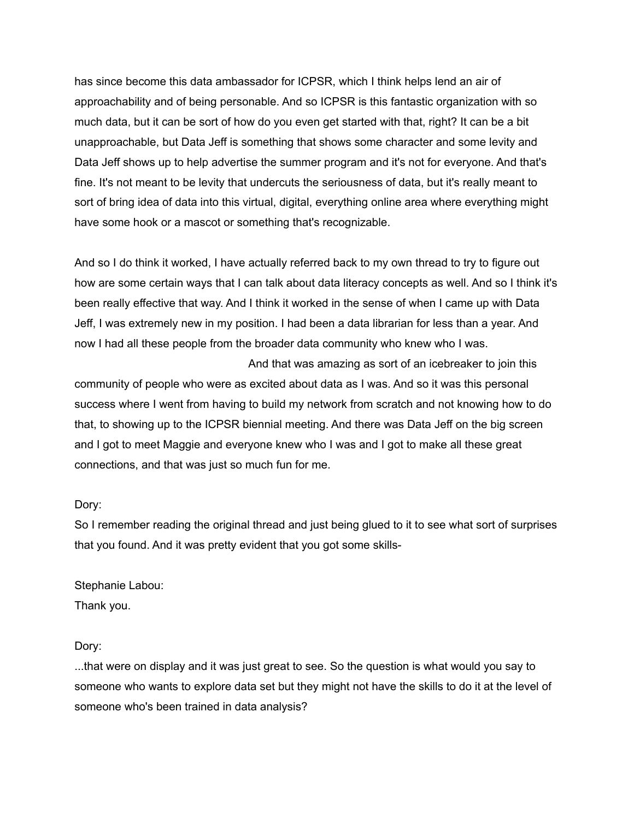has since become this data ambassador for ICPSR, which I think helps lend an air of approachability and of being personable. And so ICPSR is this fantastic organization with so much data, but it can be sort of how do you even get started with that, right? It can be a bit unapproachable, but Data Jeff is something that shows some character and some levity and Data Jeff shows up to help advertise the summer program and it's not for everyone. And that's fine. It's not meant to be levity that undercuts the seriousness of data, but it's really meant to sort of bring idea of data into this virtual, digital, everything online area where everything might have some hook or a mascot or something that's recognizable.

And so I do think it worked, I have actually referred back to my own thread to try to figure out how are some certain ways that I can talk about data literacy concepts as well. And so I think it's been really effective that way. And I think it worked in the sense of when I came up with Data Jeff, I was extremely new in my position. I had been a data librarian for less than a year. And now I had all these people from the broader data community who knew who I was.

And that was amazing as sort of an icebreaker to join this community of people who were as excited about data as I was. And so it was this personal success where I went from having to build my network from scratch and not knowing how to do that, to showing up to the ICPSR biennial meeting. And there was Data Jeff on the big screen and I got to meet Maggie and everyone knew who I was and I got to make all these great connections, and that was just so much fun for me.

#### Dory:

So I remember reading the original thread and just being glued to it to see what sort of surprises that you found. And it was pretty evident that you got some skills-

### Stephanie Labou:

Thank you.

### Dory:

...that were on display and it was just great to see. So the question is what would you say to someone who wants to explore data set but they might not have the skills to do it at the level of someone who's been trained in data analysis?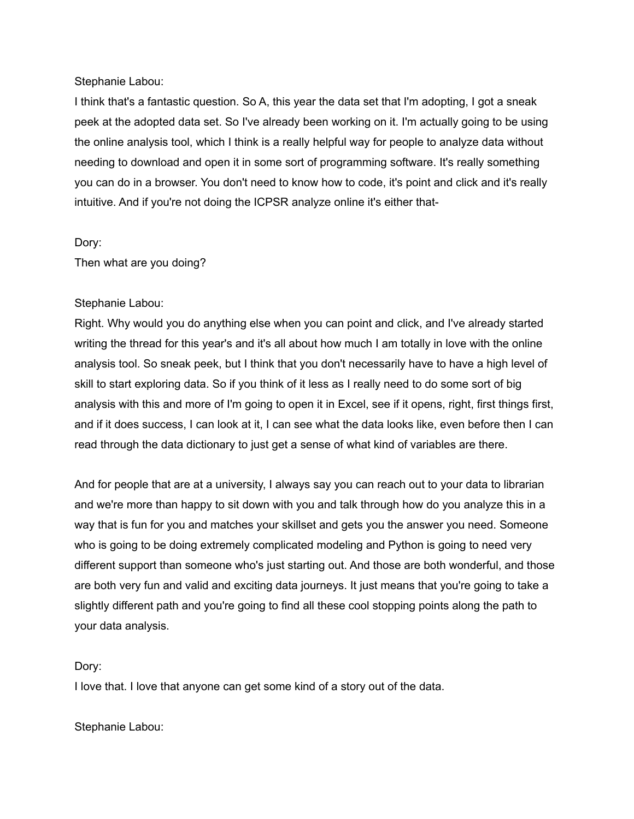Stephanie Labou:

I think that's a fantastic question. So A, this year the data set that I'm adopting, I got a sneak peek at the adopted data set. So I've already been working on it. I'm actually going to be using the online analysis tool, which I think is a really helpful way for people to analyze data without needing to download and open it in some sort of programming software. It's really something you can do in a browser. You don't need to know how to code, it's point and click and it's really intuitive. And if you're not doing the ICPSR analyze online it's either that-

### Dory:

Then what are you doing?

### Stephanie Labou:

Right. Why would you do anything else when you can point and click, and I've already started writing the thread for this year's and it's all about how much I am totally in love with the online analysis tool. So sneak peek, but I think that you don't necessarily have to have a high level of skill to start exploring data. So if you think of it less as I really need to do some sort of big analysis with this and more of I'm going to open it in Excel, see if it opens, right, first things first, and if it does success, I can look at it, I can see what the data looks like, even before then I can read through the data dictionary to just get a sense of what kind of variables are there.

And for people that are at a university, I always say you can reach out to your data to librarian and we're more than happy to sit down with you and talk through how do you analyze this in a way that is fun for you and matches your skillset and gets you the answer you need. Someone who is going to be doing extremely complicated modeling and Python is going to need very different support than someone who's just starting out. And those are both wonderful, and those are both very fun and valid and exciting data journeys. It just means that you're going to take a slightly different path and you're going to find all these cool stopping points along the path to your data analysis.

#### Dory:

I love that. I love that anyone can get some kind of a story out of the data.

Stephanie Labou: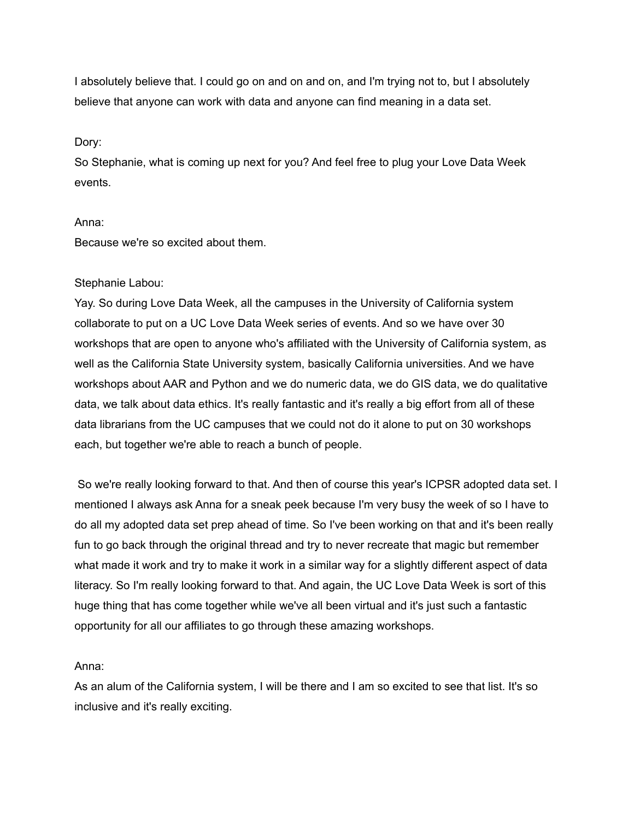I absolutely believe that. I could go on and on and on, and I'm trying not to, but I absolutely believe that anyone can work with data and anyone can find meaning in a data set.

#### Dory:

So Stephanie, what is coming up next for you? And feel free to plug your Love Data Week events.

#### Anna:

Because we're so excited about them.

### Stephanie Labou:

Yay. So during Love Data Week, all the campuses in the University of California system collaborate to put on a UC Love Data Week series of events. And so we have over 30 workshops that are open to anyone who's affiliated with the University of California system, as well as the California State University system, basically California universities. And we have workshops about AAR and Python and we do numeric data, we do GIS data, we do qualitative data, we talk about data ethics. It's really fantastic and it's really a big effort from all of these data librarians from the UC campuses that we could not do it alone to put on 30 workshops each, but together we're able to reach a bunch of people.

So we're really looking forward to that. And then of course this year's ICPSR adopted data set. I mentioned I always ask Anna for a sneak peek because I'm very busy the week of so I have to do all my adopted data set prep ahead of time. So I've been working on that and it's been really fun to go back through the original thread and try to never recreate that magic but remember what made it work and try to make it work in a similar way for a slightly different aspect of data literacy. So I'm really looking forward to that. And again, the UC Love Data Week is sort of this huge thing that has come together while we've all been virtual and it's just such a fantastic opportunity for all our affiliates to go through these amazing workshops.

#### Anna:

As an alum of the California system, I will be there and I am so excited to see that list. It's so inclusive and it's really exciting.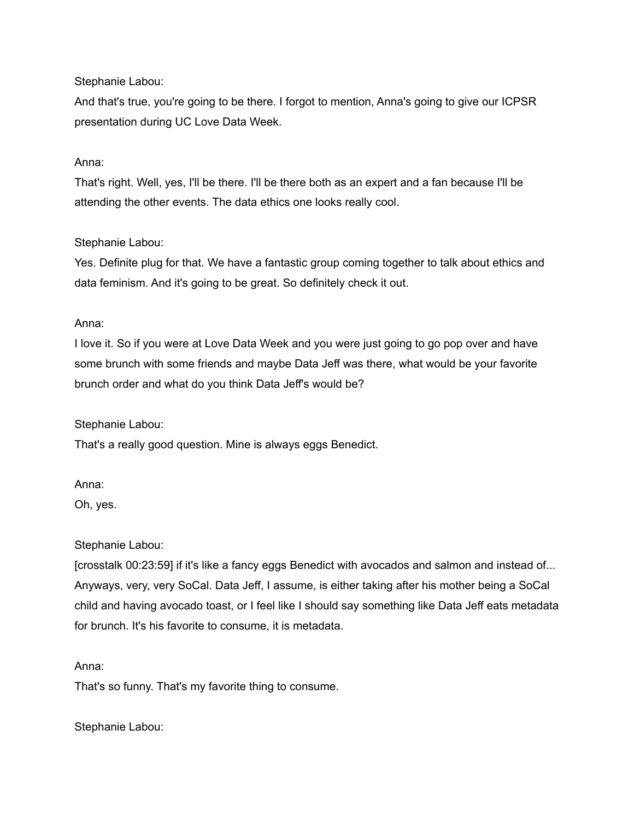Stephanie Labou:

And that's true, you're going to be there. I forgot to mention, Anna's going to give our ICPSR presentation during UC Love Data Week.

# Anna:

That's right. Well, yes, I'll be there. I'll be there both as an expert and a fan because I'll be attending the other events. The data ethics one looks really cool.

# Stephanie Labou:

Yes. Definite plug for that. We have a fantastic group coming together to talk about ethics and data feminism. And it's going to be great. So definitely check it out.

### Anna:

I love it. So if you were at Love Data Week and you were just going to go pop over and have some brunch with some friends and maybe Data Jeff was there, what would be your favorite brunch order and what do you think Data Jeff's would be?

Stephanie Labou:

That's a really good question. Mine is always eggs Benedict.

### Anna:

Oh, yes.

### Stephanie Labou:

[crosstalk 00:23:59] if it's like a fancy eggs Benedict with avocados and salmon and instead of... Anyways, very, very SoCal. Data Jeff, I assume, is either taking after his mother being a SoCal child and having avocado toast, or I feel like I should say something like Data Jeff eats metadata for brunch. It's his favorite to consume, it is metadata.

### Anna:

That's so funny. That's my favorite thing to consume.

Stephanie Labou: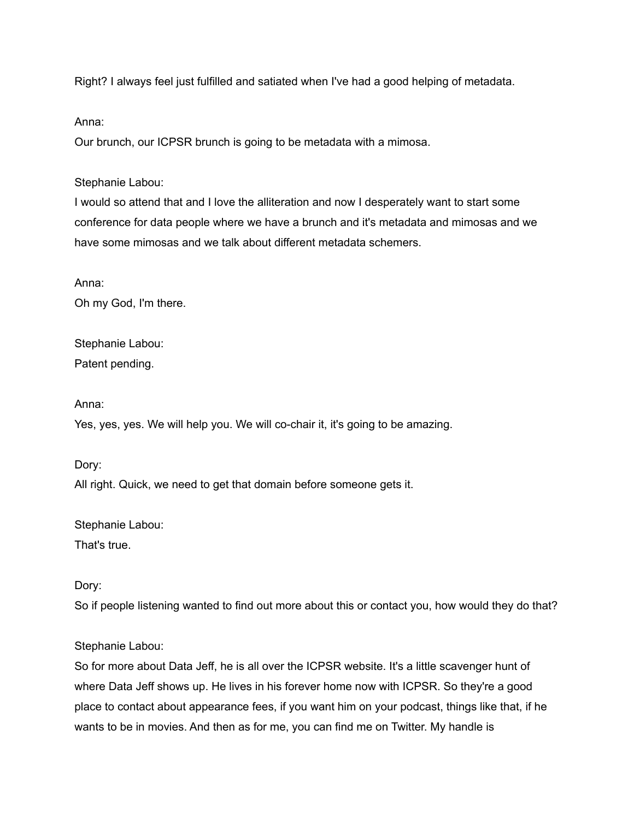Right? I always feel just fulfilled and satiated when I've had a good helping of metadata.

#### Anna:

Our brunch, our ICPSR brunch is going to be metadata with a mimosa.

#### Stephanie Labou:

I would so attend that and I love the alliteration and now I desperately want to start some conference for data people where we have a brunch and it's metadata and mimosas and we have some mimosas and we talk about different metadata schemers.

Anna:

Oh my God, I'm there.

Stephanie Labou: Patent pending.

Anna:

Yes, yes, yes. We will help you. We will co-chair it, it's going to be amazing.

Dory:

All right. Quick, we need to get that domain before someone gets it.

Stephanie Labou: That's true.

Dory:

So if people listening wanted to find out more about this or contact you, how would they do that?

Stephanie Labou:

So for more about Data Jeff, he is all over the ICPSR website. It's a little scavenger hunt of where Data Jeff shows up. He lives in his forever home now with ICPSR. So they're a good place to contact about appearance fees, if you want him on your podcast, things like that, if he wants to be in movies. And then as for me, you can find me on Twitter. My handle is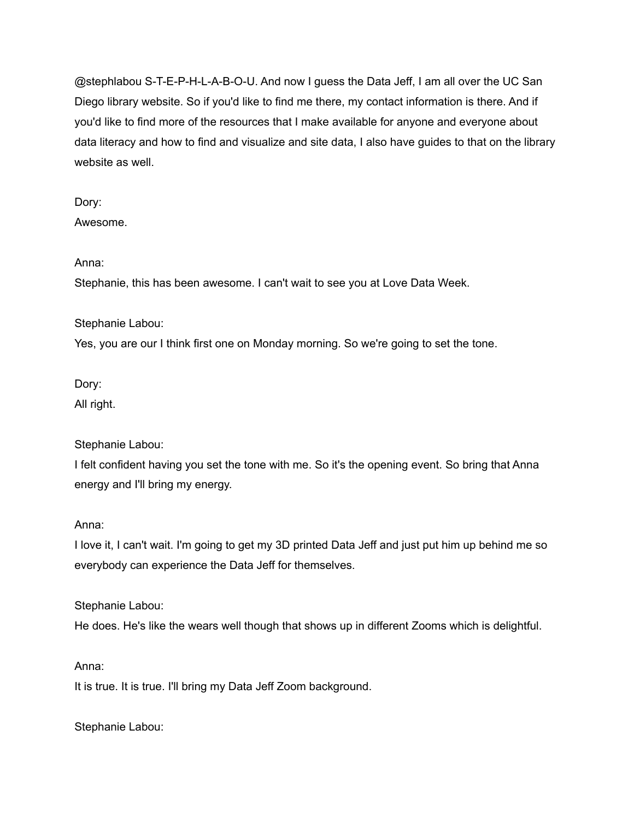@stephlabou S-T-E-P-H-L-A-B-O-U. And now I guess the Data Jeff, I am all over the UC San Diego library website. So if you'd like to find me there, my contact information is there. And if you'd like to find more of the resources that I make available for anyone and everyone about data literacy and how to find and visualize and site data, I also have guides to that on the library website as well.

# Dory:

Awesome.

### Anna:

Stephanie, this has been awesome. I can't wait to see you at Love Data Week.

### Stephanie Labou:

Yes, you are our I think first one on Monday morning. So we're going to set the tone.

Dory:

All right.

# Stephanie Labou:

I felt confident having you set the tone with me. So it's the opening event. So bring that Anna energy and I'll bring my energy.

### Anna:

I love it, I can't wait. I'm going to get my 3D printed Data Jeff and just put him up behind me so everybody can experience the Data Jeff for themselves.

Stephanie Labou:

He does. He's like the wears well though that shows up in different Zooms which is delightful.

### Anna:

It is true. It is true. I'll bring my Data Jeff Zoom background.

Stephanie Labou: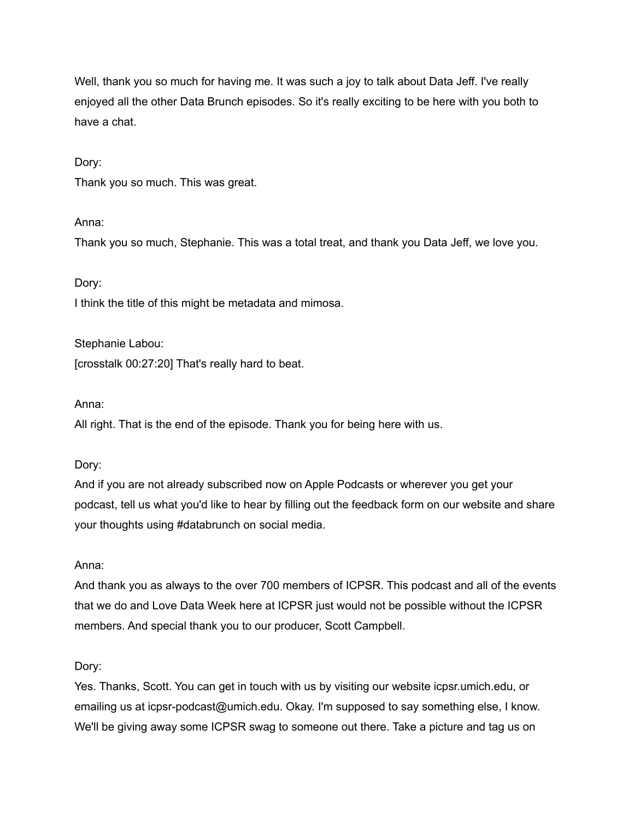Well, thank you so much for having me. It was such a joy to talk about Data Jeff. I've really enjoyed all the other Data Brunch episodes. So it's really exciting to be here with you both to have a chat.

### Dory:

Thank you so much. This was great.

### Anna:

Thank you so much, Stephanie. This was a total treat, and thank you Data Jeff, we love you.

### Dory:

I think the title of this might be metadata and mimosa.

Stephanie Labou: [crosstalk 00:27:20] That's really hard to beat.

#### Anna:

All right. That is the end of the episode. Thank you for being here with us.

#### Dory:

And if you are not already subscribed now on Apple Podcasts or wherever you get your podcast, tell us what you'd like to hear by filling out the feedback form on our website and share your thoughts using #databrunch on social media.

### Anna:

And thank you as always to the over 700 members of ICPSR. This podcast and all of the events that we do and Love Data Week here at ICPSR just would not be possible without the ICPSR members. And special thank you to our producer, Scott Campbell.

### Dory:

Yes. Thanks, Scott. You can get in touch with us by visiting our website icpsr.umich.edu, or emailing us at icpsr-podcast@umich.edu. Okay. I'm supposed to say something else, I know. We'll be giving away some ICPSR swag to someone out there. Take a picture and tag us on